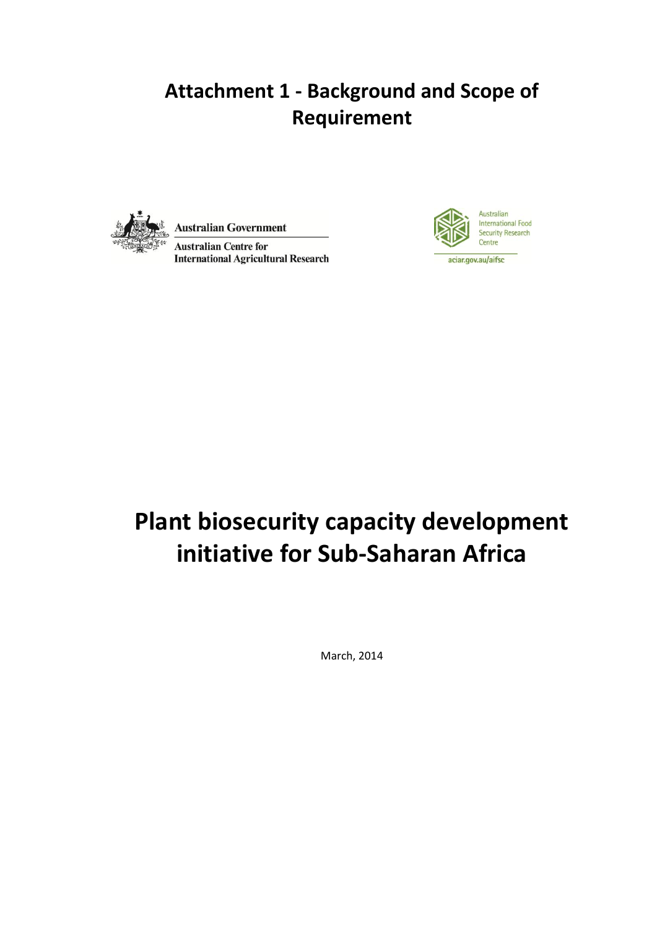# **Attachment 1 - Background and Scope of Requirement**



**Australian Government** 

**Australian Centre for International Agricultural Research** 



**Plant biosecurity capacity development initiative for Sub-Saharan Africa**

March, 2014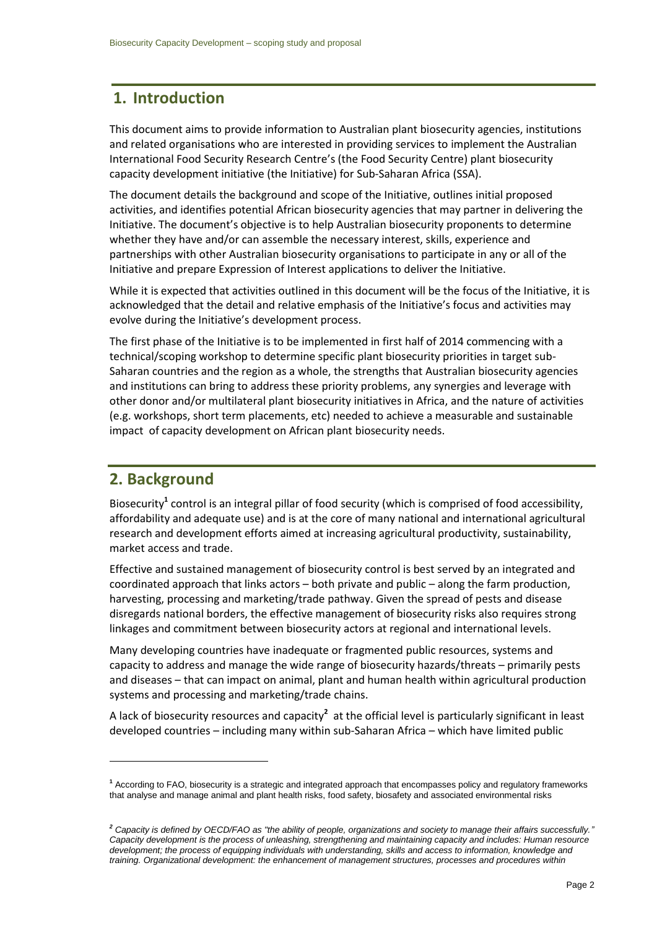## **1. Introduction**

This document aims to provide information to Australian plant biosecurity agencies, institutions and related organisations who are interested in providing services to implement the Australian International Food Security Research Centre's (the Food Security Centre) plant biosecurity capacity development initiative (the Initiative) for Sub-Saharan Africa (SSA).

The document details the background and scope of the Initiative, outlines initial proposed activities, and identifies potential African biosecurity agencies that may partner in delivering the Initiative. The document's objective is to help Australian biosecurity proponents to determine whether they have and/or can assemble the necessary interest, skills, experience and partnerships with other Australian biosecurity organisations to participate in any or all of the Initiative and prepare Expression of Interest applications to deliver the Initiative.

While it is expected that activities outlined in this document will be the focus of the Initiative, it is acknowledged that the detail and relative emphasis of the Initiative's focus and activities may evolve during the Initiative's development process.

The first phase of the Initiative is to be implemented in first half of 2014 commencing with a technical/scoping workshop to determine specific plant biosecurity priorities in target sub-Saharan countries and the region as a whole, the strengths that Australian biosecurity agencies and institutions can bring to address these priority problems, any synergies and leverage with other donor and/or multilateral plant biosecurity initiatives in Africa, and the nature of activities (e.g. workshops, short term placements, etc) needed to achieve a measurable and sustainable impact of capacity development on African plant biosecurity needs.

# **2. Background**

 $\overline{a}$ 

Biosecurity**<sup>1</sup>** control is an integral pillar of food security (which is comprised of food accessibility, affordability and adequate use) and is at the core of many national and international agricultural research and development efforts aimed at increasing agricultural productivity, sustainability, market access and trade.

Effective and sustained management of biosecurity control is best served by an integrated and coordinated approach that links actors – both private and public – along the farm production, harvesting, processing and marketing/trade pathway. Given the spread of pests and disease disregards national borders, the effective management of biosecurity risks also requires strong linkages and commitment between biosecurity actors at regional and international levels.

Many developing countries have inadequate or fragmented public resources, systems and capacity to address and manage the wide range of biosecurity hazards/threats – primarily pests and diseases – that can impact on animal, plant and human health within agricultural production systems and processing and marketing/trade chains.

A lack of biosecurity resources and capacity<sup>2</sup> at the official level is particularly significant in least developed countries – including many within sub-Saharan Africa – which have limited public

**<sup>1</sup>** According to FAO, biosecurity is a strategic and integrated approach that encompasses policy and regulatory frameworks that analyse and manage animal and plant health risks, food safety, biosafety and associated environmental risks

*<sup>2</sup> Capacity is defined by OECD/FAO as "the ability of people, organizations and society to manage their affairs successfully." Capacity development is the process of unleashing, strengthening and maintaining capacity and includes: Human resource development; the process of equipping individuals with understanding, skills and access to information, knowledge and training. Organizational development: the enhancement of management structures, processes and procedures within*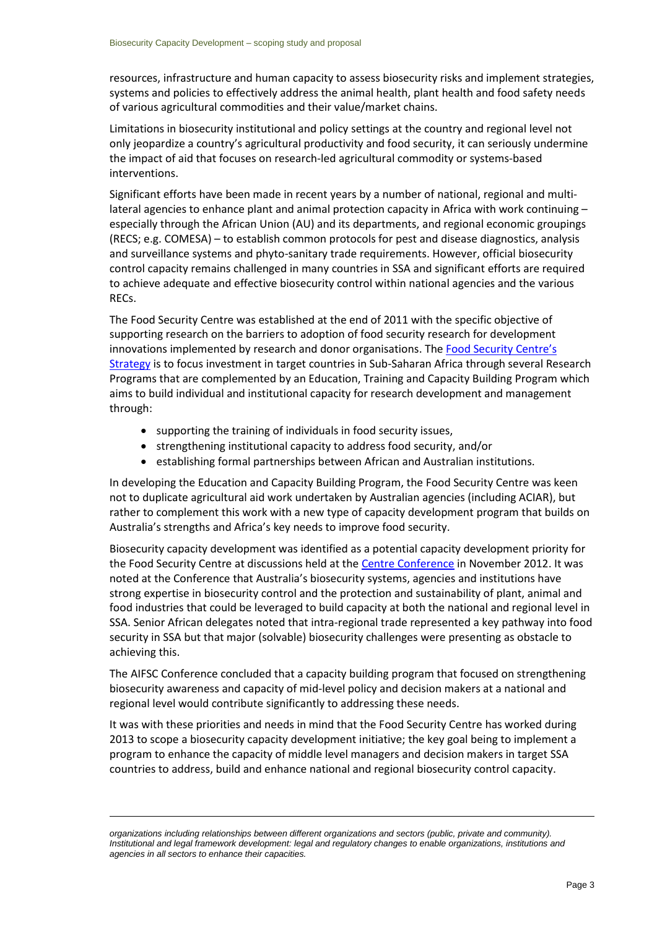resources, infrastructure and human capacity to assess biosecurity risks and implement strategies, systems and policies to effectively address the animal health, plant health and food safety needs of various agricultural commodities and their value/market chains.

Limitations in biosecurity institutional and policy settings at the country and regional level not only jeopardize a country's agricultural productivity and food security, it can seriously undermine the impact of aid that focuses on research-led agricultural commodity or systems-based interventions.

Significant efforts have been made in recent years by a number of national, regional and multilateral agencies to enhance plant and animal protection capacity in Africa with work continuing – especially through the African Union (AU) and its departments, and regional economic groupings (RECS; e.g. COMESA) – to establish common protocols for pest and disease diagnostics, analysis and surveillance systems and phyto-sanitary trade requirements. However, official biosecurity control capacity remains challenged in many countries in SSA and significant efforts are required to achieve adequate and effective biosecurity control within national agencies and the various RECs.

The Food Security Centre was established at the end of 2011 with the specific objective of supporting research on the barriers to adoption of food security research for development innovations implemented by research and donor organisations. The [Food Security Centre's](http://aciar.gov.au/aifsc/sites/default/files/images/aifsc_strategy_2013.pdf)  [Strategy](http://aciar.gov.au/aifsc/sites/default/files/images/aifsc_strategy_2013.pdf) is to focus investment in target countries in Sub-Saharan Africa through several Research Programs that are complemented by an Education, Training and Capacity Building Program which aims to build individual and institutional capacity for research development and management through:

- supporting the training of individuals in food security issues,
- strengthening institutional capacity to address food security, and/or
- establishing formal partnerships between African and Australian institutions.

In developing the Education and Capacity Building Program, the Food Security Centre was keen not to duplicate agricultural aid work undertaken by Australian agencies (including ACIAR), but rather to complement this work with a new type of capacity development program that builds on Australia's strengths and Africa's key needs to improve food security.

Biosecurity capacity development was identified as a potential capacity development priority for the Food Security Centre at discussions held at the Centre [Conference](http://aciar.gov.au/aifsc/aifsc-conference-food-security-africa-bridging-research-and-practice) in November 2012. It was noted at the Conference that Australia's biosecurity systems, agencies and institutions have strong expertise in biosecurity control and the protection and sustainability of plant, animal and food industries that could be leveraged to build capacity at both the national and regional level in SSA. Senior African delegates noted that intra-regional trade represented a key pathway into food security in SSA but that major (solvable) biosecurity challenges were presenting as obstacle to achieving this.

The AIFSC Conference concluded that a capacity building program that focused on strengthening biosecurity awareness and capacity of mid-level policy and decision makers at a national and regional level would contribute significantly to addressing these needs.

It was with these priorities and needs in mind that the Food Security Centre has worked during 2013 to scope a biosecurity capacity development initiative; the key goal being to implement a program to enhance the capacity of middle level managers and decision makers in target SSA countries to address, build and enhance national and regional biosecurity control capacity.

 $\overline{a}$ 

*organizations including relationships between different organizations and sectors (public, private and community). Institutional and legal framework development: legal and regulatory changes to enable organizations, institutions and agencies in all sectors to enhance their capacities.*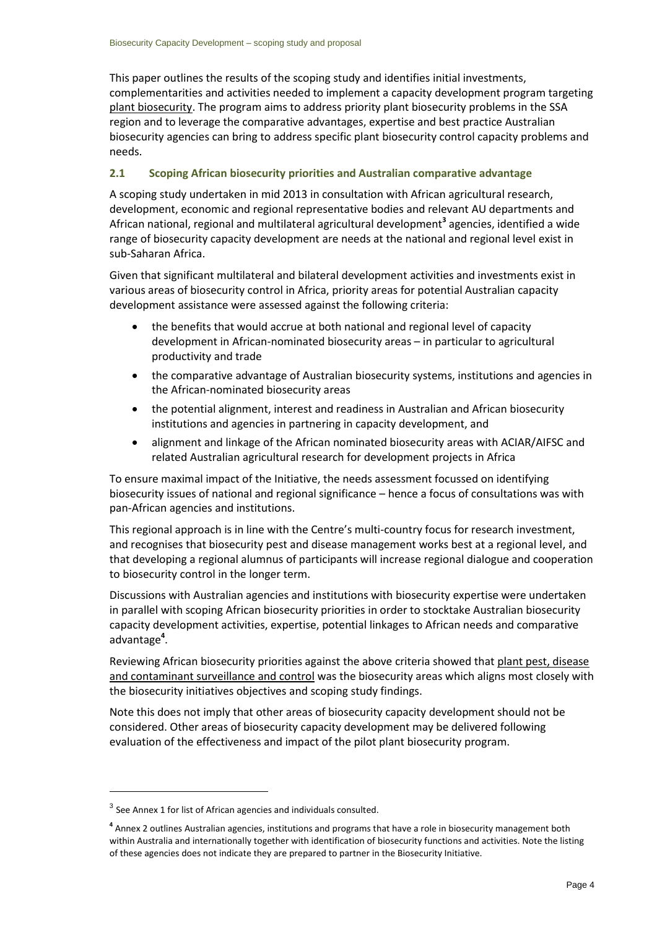This paper outlines the results of the scoping study and identifies initial investments, complementarities and activities needed to implement a capacity development program targeting plant biosecurity. The program aims to address priority plant biosecurity problems in the SSA region and to leverage the comparative advantages, expertise and best practice Australian biosecurity agencies can bring to address specific plant biosecurity control capacity problems and needs.

#### **2.1 Scoping African biosecurity priorities and Australian comparative advantage**

A scoping study undertaken in mid 2013 in consultation with African agricultural research, development, economic and regional representative bodies and relevant AU departments and African national, regional and multilateral agricultural development**<sup>3</sup>** agencies, identified a wide range of biosecurity capacity development are needs at the national and regional level exist in sub-Saharan Africa.

Given that significant multilateral and bilateral development activities and investments exist in various areas of biosecurity control in Africa, priority areas for potential Australian capacity development assistance were assessed against the following criteria:

- the benefits that would accrue at both national and regional level of capacity development in African-nominated biosecurity areas – in particular to agricultural productivity and trade
- the comparative advantage of Australian biosecurity systems, institutions and agencies in the African-nominated biosecurity areas
- the potential alignment, interest and readiness in Australian and African biosecurity institutions and agencies in partnering in capacity development, and
- alignment and linkage of the African nominated biosecurity areas with ACIAR/AIFSC and related Australian agricultural research for development projects in Africa

To ensure maximal impact of the Initiative, the needs assessment focussed on identifying biosecurity issues of national and regional significance – hence a focus of consultations was with pan-African agencies and institutions.

This regional approach is in line with the Centre's multi-country focus for research investment, and recognises that biosecurity pest and disease management works best at a regional level, and that developing a regional alumnus of participants will increase regional dialogue and cooperation to biosecurity control in the longer term.

Discussions with Australian agencies and institutions with biosecurity expertise were undertaken in parallel with scoping African biosecurity priorities in order to stocktake Australian biosecurity capacity development activities, expertise, potential linkages to African needs and comparative advantage**<sup>4</sup>** .

Reviewing African biosecurity priorities against the above criteria showed that plant pest, disease and contaminant surveillance and control was the biosecurity areas which aligns most closely with the biosecurity initiatives objectives and scoping study findings.

Note this does not imply that other areas of biosecurity capacity development should not be considered. Other areas of biosecurity capacity development may be delivered following evaluation of the effectiveness and impact of the pilot plant biosecurity program.

 $^3$  See Annex 1 for list of African agencies and individuals consulted.

**<sup>4</sup>** Annex 2 outlines Australian agencies, institutions and programs that have a role in biosecurity management both within Australia and internationally together with identification of biosecurity functions and activities. Note the listing of these agencies does not indicate they are prepared to partner in the Biosecurity Initiative.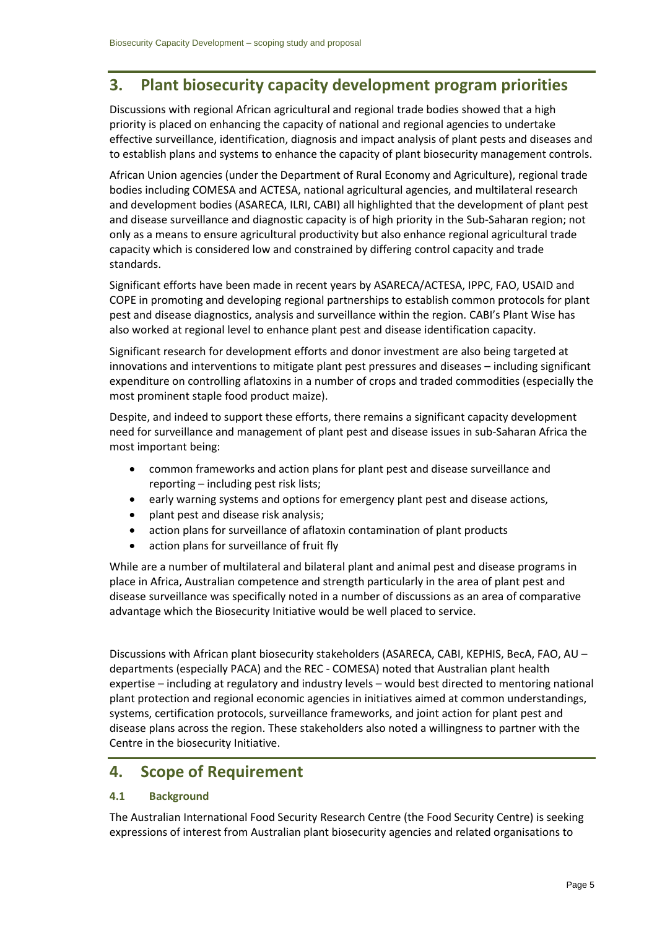# **3. Plant biosecurity capacity development program priorities**

Discussions with regional African agricultural and regional trade bodies showed that a high priority is placed on enhancing the capacity of national and regional agencies to undertake effective surveillance, identification, diagnosis and impact analysis of plant pests and diseases and to establish plans and systems to enhance the capacity of plant biosecurity management controls.

African Union agencies (under the Department of Rural Economy and Agriculture), regional trade bodies including COMESA and ACTESA, national agricultural agencies, and multilateral research and development bodies (ASARECA, ILRI, CABI) all highlighted that the development of plant pest and disease surveillance and diagnostic capacity is of high priority in the Sub-Saharan region; not only as a means to ensure agricultural productivity but also enhance regional agricultural trade capacity which is considered low and constrained by differing control capacity and trade standards.

Significant efforts have been made in recent years by ASARECA/ACTESA, IPPC, FAO, USAID and COPE in promoting and developing regional partnerships to establish common protocols for plant pest and disease diagnostics, analysis and surveillance within the region. CABI's Plant Wise has also worked at regional level to enhance plant pest and disease identification capacity.

Significant research for development efforts and donor investment are also being targeted at innovations and interventions to mitigate plant pest pressures and diseases – including significant expenditure on controlling aflatoxins in a number of crops and traded commodities (especially the most prominent staple food product maize).

Despite, and indeed to support these efforts, there remains a significant capacity development need for surveillance and management of plant pest and disease issues in sub-Saharan Africa the most important being:

- common frameworks and action plans for plant pest and disease surveillance and reporting – including pest risk lists;
- early warning systems and options for emergency plant pest and disease actions,
- plant pest and disease risk analysis;
- action plans for surveillance of aflatoxin contamination of plant products
- action plans for surveillance of fruit fly

While are a number of multilateral and bilateral plant and animal pest and disease programs in place in Africa, Australian competence and strength particularly in the area of plant pest and disease surveillance was specifically noted in a number of discussions as an area of comparative advantage which the Biosecurity Initiative would be well placed to service.

Discussions with African plant biosecurity stakeholders (ASARECA, CABI, KEPHIS, BecA, FAO, AU – departments (especially PACA) and the REC - COMESA) noted that Australian plant health expertise – including at regulatory and industry levels – would best directed to mentoring national plant protection and regional economic agencies in initiatives aimed at common understandings, systems, certification protocols, surveillance frameworks, and joint action for plant pest and disease plans across the region. These stakeholders also noted a willingness to partner with the Centre in the biosecurity Initiative.

## **4. Scope of Requirement**

#### **4.1 Background**

The Australian International Food Security Research Centre (the Food Security Centre) is seeking expressions of interest from Australian plant biosecurity agencies and related organisations to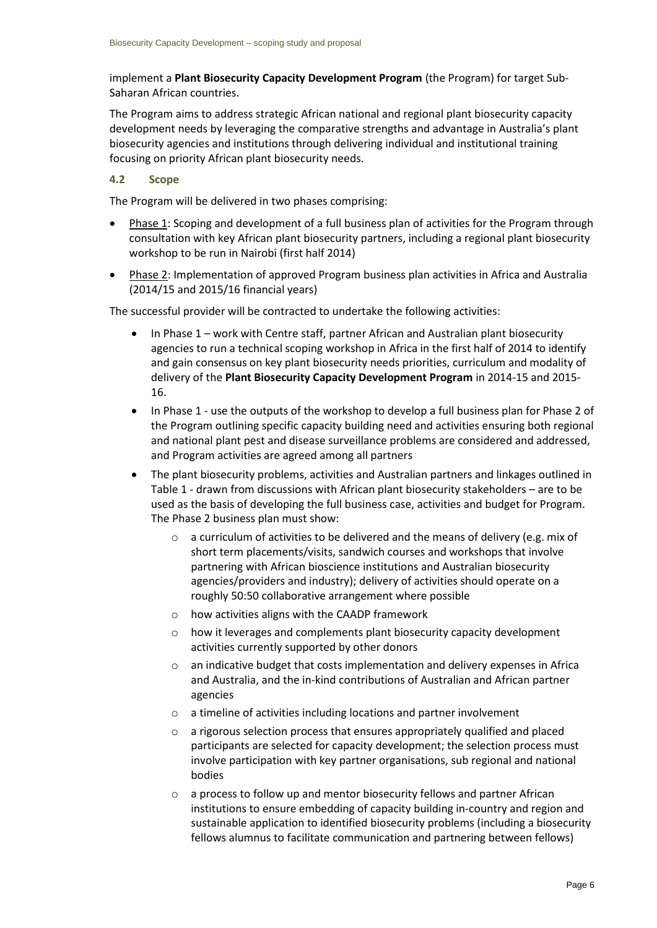implement a **Plant Biosecurity Capacity Development Program** (the Program) for target Sub-Saharan African countries.

The Program aims to address strategic African national and regional plant biosecurity capacity development needs by leveraging the comparative strengths and advantage in Australia's plant biosecurity agencies and institutions through delivering individual and institutional training focusing on priority African plant biosecurity needs.

#### **4.2 Scope**

The Program will be delivered in two phases comprising:

- Phase 1: Scoping and development of a full business plan of activities for the Program through consultation with key African plant biosecurity partners, including a regional plant biosecurity workshop to be run in Nairobi (first half 2014)
- Phase 2: Implementation of approved Program business plan activities in Africa and Australia (2014/15 and 2015/16 financial years)

The successful provider will be contracted to undertake the following activities:

- In Phase 1 work with Centre staff, partner African and Australian plant biosecurity agencies to run a technical scoping workshop in Africa in the first half of 2014 to identify and gain consensus on key plant biosecurity needs priorities, curriculum and modality of delivery of the **Plant Biosecurity Capacity Development Program** in 2014-15 and 2015- 16.
- In Phase 1 use the outputs of the workshop to develop a full business plan for Phase 2 of the Program outlining specific capacity building need and activities ensuring both regional and national plant pest and disease surveillance problems are considered and addressed, and Program activities are agreed among all partners
- The plant biosecurity problems, activities and Australian partners and linkages outlined in Table 1 - drawn from discussions with African plant biosecurity stakeholders – are to be used as the basis of developing the full business case, activities and budget for Program. The Phase 2 business plan must show:
	- o a curriculum of activities to be delivered and the means of delivery (e.g. mix of short term placements/visits, sandwich courses and workshops that involve partnering with African bioscience institutions and Australian biosecurity agencies/providers and industry); delivery of activities should operate on a roughly 50:50 collaborative arrangement where possible
	- o how activities aligns with the CAADP framework
	- o how it leverages and complements plant biosecurity capacity development activities currently supported by other donors
	- $\circ$  an indicative budget that costs implementation and delivery expenses in Africa and Australia, and the in-kind contributions of Australian and African partner agencies
	- o a timeline of activities including locations and partner involvement
	- $\circ$  a rigorous selection process that ensures appropriately qualified and placed participants are selected for capacity development; the selection process must involve participation with key partner organisations, sub regional and national bodies
	- o a process to follow up and mentor biosecurity fellows and partner African institutions to ensure embedding of capacity building in-country and region and sustainable application to identified biosecurity problems (including a biosecurity fellows alumnus to facilitate communication and partnering between fellows)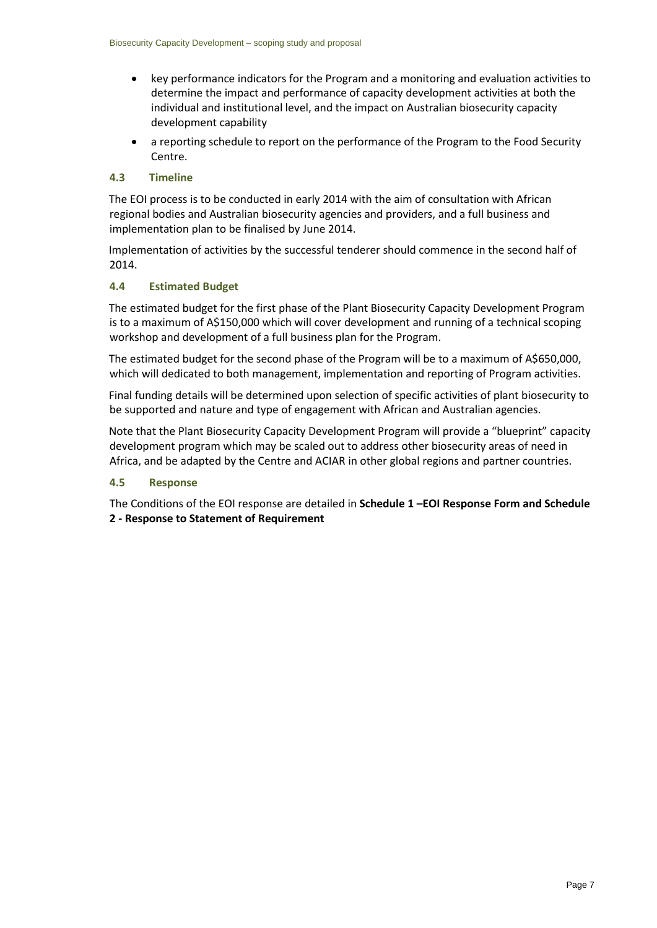- key performance indicators for the Program and a monitoring and evaluation activities to determine the impact and performance of capacity development activities at both the individual and institutional level, and the impact on Australian biosecurity capacity development capability
- a reporting schedule to report on the performance of the Program to the Food Security Centre.

#### **4.3 Timeline**

The EOI process is to be conducted in early 2014 with the aim of consultation with African regional bodies and Australian biosecurity agencies and providers, and a full business and implementation plan to be finalised by June 2014.

Implementation of activities by the successful tenderer should commence in the second half of 2014.

#### **4.4 Estimated Budget**

The estimated budget for the first phase of the Plant Biosecurity Capacity Development Program is to a maximum of A\$150,000 which will cover development and running of a technical scoping workshop and development of a full business plan for the Program.

The estimated budget for the second phase of the Program will be to a maximum of A\$650,000, which will dedicated to both management, implementation and reporting of Program activities.

Final funding details will be determined upon selection of specific activities of plant biosecurity to be supported and nature and type of engagement with African and Australian agencies.

Note that the Plant Biosecurity Capacity Development Program will provide a "blueprint" capacity development program which may be scaled out to address other biosecurity areas of need in Africa, and be adapted by the Centre and ACIAR in other global regions and partner countries.

#### **4.5 Response**

The Conditions of the EOI response are detailed in **Schedule 1 –EOI Response Form and Schedule 2 - Response to Statement of Requirement**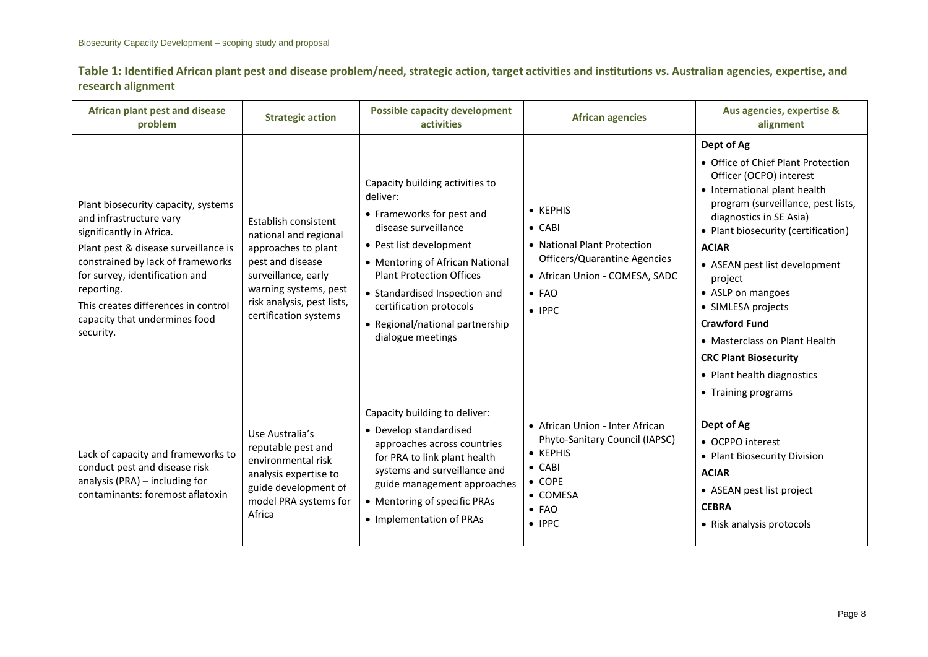| Table 1: Identified African plant pest and disease problem/need, strategic action, target activities and institutions vs. Australian agencies, expertise, and |
|---------------------------------------------------------------------------------------------------------------------------------------------------------------|
| research alignment                                                                                                                                            |

| African plant pest and disease<br>problem                                                                                                                                                                                                                                                                    | <b>Strategic action</b>                                                                                                                                                                         | <b>Possible capacity development</b><br>activities                                                                                                                                                                                                                                                                    | <b>African agencies</b>                                                                                                                                          | Aus agencies, expertise &<br>alignment                                                                                                                                                                                                                                                                                                                                                                                                                                   |
|--------------------------------------------------------------------------------------------------------------------------------------------------------------------------------------------------------------------------------------------------------------------------------------------------------------|-------------------------------------------------------------------------------------------------------------------------------------------------------------------------------------------------|-----------------------------------------------------------------------------------------------------------------------------------------------------------------------------------------------------------------------------------------------------------------------------------------------------------------------|------------------------------------------------------------------------------------------------------------------------------------------------------------------|--------------------------------------------------------------------------------------------------------------------------------------------------------------------------------------------------------------------------------------------------------------------------------------------------------------------------------------------------------------------------------------------------------------------------------------------------------------------------|
| Plant biosecurity capacity, systems<br>and infrastructure vary<br>significantly in Africa.<br>Plant pest & disease surveillance is<br>constrained by lack of frameworks<br>for survey, identification and<br>reporting.<br>This creates differences in control<br>capacity that undermines food<br>security. | Establish consistent<br>national and regional<br>approaches to plant<br>pest and disease<br>surveillance, early<br>warning systems, pest<br>risk analysis, pest lists,<br>certification systems | Capacity building activities to<br>deliver:<br>• Frameworks for pest and<br>disease surveillance<br>• Pest list development<br>• Mentoring of African National<br><b>Plant Protection Offices</b><br>• Standardised Inspection and<br>certification protocols<br>• Regional/national partnership<br>dialogue meetings | • KEPHIS<br>$\bullet$ CABI<br>• National Plant Protection<br>Officers/Quarantine Agencies<br>• African Union - COMESA, SADC<br>$\bullet$ FAO<br>$\bullet$ IPPC   | Dept of Ag<br>• Office of Chief Plant Protection<br>Officer (OCPO) interest<br>• International plant health<br>program (surveillance, pest lists,<br>diagnostics in SE Asia)<br>• Plant biosecurity (certification)<br><b>ACIAR</b><br>• ASEAN pest list development<br>project<br>• ASLP on mangoes<br>• SIMLESA projects<br><b>Crawford Fund</b><br>• Masterclass on Plant Health<br><b>CRC Plant Biosecurity</b><br>• Plant health diagnostics<br>• Training programs |
| Lack of capacity and frameworks to<br>conduct pest and disease risk<br>analysis (PRA) $-$ including for<br>contaminants: foremost aflatoxin                                                                                                                                                                  | Use Australia's<br>reputable pest and<br>environmental risk<br>analysis expertise to<br>guide development of<br>model PRA systems for<br>Africa                                                 | Capacity building to deliver:<br>• Develop standardised<br>approaches across countries<br>for PRA to link plant health<br>systems and surveillance and<br>guide management approaches<br>• Mentoring of specific PRAs<br>• Implementation of PRAs                                                                     | • African Union - Inter African<br>Phyto-Sanitary Council (IAPSC)<br>• KEPHIS<br>$\bullet$ CABI<br>$\bullet$ COPE<br>• COMESA<br>$\bullet$ FAO<br>$\bullet$ IPPC | Dept of Ag<br>• OCPPO interest<br>• Plant Biosecurity Division<br><b>ACIAR</b><br>• ASEAN pest list project<br><b>CEBRA</b><br>• Risk analysis protocols                                                                                                                                                                                                                                                                                                                 |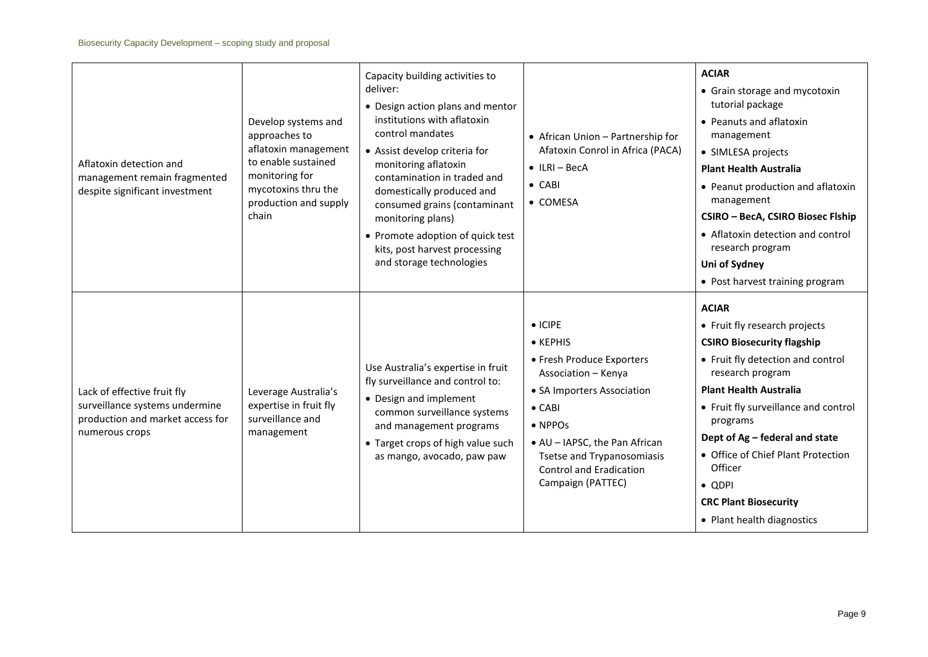| Aflatoxin detection and<br>management remain fragmented<br>despite significant investment                           | Develop systems and<br>approaches to<br>aflatoxin management<br>to enable sustained<br>monitoring for<br>mycotoxins thru the<br>production and supply<br>chain | Capacity building activities to<br>deliver:<br>• Design action plans and mentor<br>institutions with aflatoxin<br>control mandates<br>• Assist develop criteria for<br>monitoring aflatoxin<br>contamination in traded and<br>domestically produced and<br>consumed grains (contaminant<br>monitoring plans)<br>• Promote adoption of quick test<br>kits, post harvest processing<br>and storage technologies | • African Union - Partnership for<br>Afatoxin Conrol in Africa (PACA)<br>$\bullet$ ILRI - BecA<br>$\bullet$ CABI<br>• COMESA                                                                                                                                             | <b>ACIAR</b><br>• Grain storage and mycotoxin<br>tutorial package<br>• Peanuts and aflatoxin<br>management<br>• SIMLESA projects<br><b>Plant Health Australia</b><br>• Peanut production and aflatoxin<br>management<br><b>CSIRO - BecA, CSIRO Biosec Flship</b><br>• Aflatoxin detection and control<br>research program<br>Uni of Sydney<br>• Post harvest training program                       |
|---------------------------------------------------------------------------------------------------------------------|----------------------------------------------------------------------------------------------------------------------------------------------------------------|---------------------------------------------------------------------------------------------------------------------------------------------------------------------------------------------------------------------------------------------------------------------------------------------------------------------------------------------------------------------------------------------------------------|--------------------------------------------------------------------------------------------------------------------------------------------------------------------------------------------------------------------------------------------------------------------------|-----------------------------------------------------------------------------------------------------------------------------------------------------------------------------------------------------------------------------------------------------------------------------------------------------------------------------------------------------------------------------------------------------|
| Lack of effective fruit fly<br>surveillance systems undermine<br>production and market access for<br>numerous crops | Leverage Australia's<br>expertise in fruit fly<br>surveillance and<br>management                                                                               | Use Australia's expertise in fruit<br>fly surveillance and control to:<br>• Design and implement<br>common surveillance systems<br>and management programs<br>• Target crops of high value such<br>as mango, avocado, paw paw                                                                                                                                                                                 | $\bullet$ ICIPE<br>• KEPHIS<br>• Fresh Produce Exporters<br>Association - Kenya<br>• SA Importers Association<br>$\bullet$ CABI<br>$\bullet$ NPPOs<br>• AU - IAPSC, the Pan African<br>Tsetse and Trypanosomiasis<br><b>Control and Eradication</b><br>Campaign (PATTEC) | <b>ACIAR</b><br>• Fruit fly research projects<br><b>CSIRO Biosecurity flagship</b><br>• Fruit fly detection and control<br>research program<br><b>Plant Health Australia</b><br>• Fruit fly surveillance and control<br>programs<br>Dept of Ag - federal and state<br>• Office of Chief Plant Protection<br>Officer<br>$\bullet$ QDPI<br><b>CRC Plant Biosecurity</b><br>• Plant health diagnostics |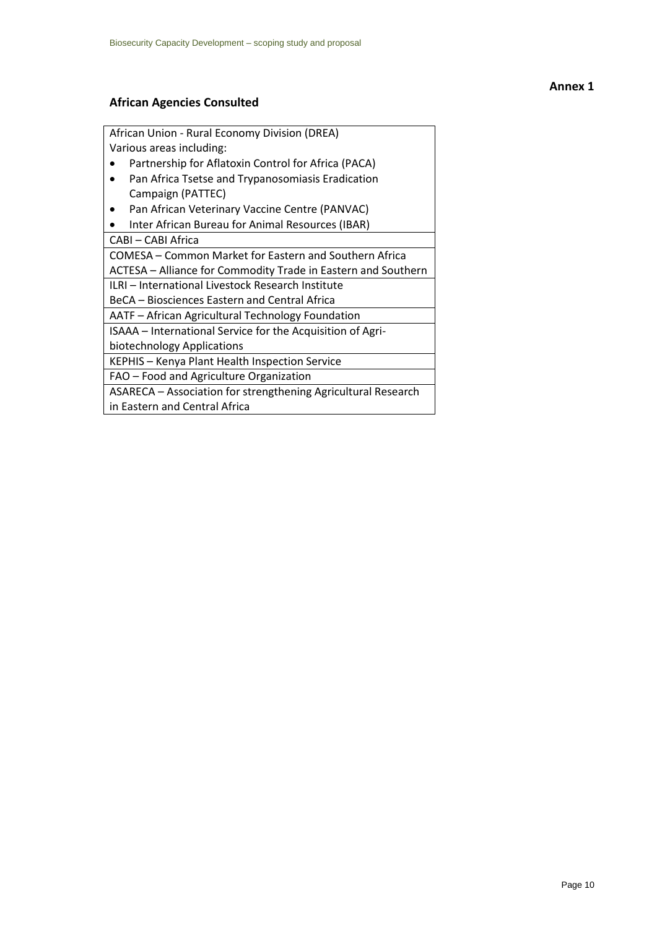#### **African Agencies Consulted**

African Union - Rural Economy Division (DREA) Various areas including:

- Partnership for Aflatoxin Control for Africa (PACA)
- Pan Africa Tsetse and Trypanosomiasis Eradication Campaign (PATTEC)
- Pan African Veterinary Vaccine Centre (PANVAC)
- Inter African Bureau for Animal Resources (IBAR)

#### CABI – CABI Africa

COMESA – Common Market for Eastern and Southern Africa

ACTESA – Alliance for Commodity Trade in Eastern and Southern

ILRI – International Livestock Research Institute

BeCA – Biosciences Eastern and Central Africa

AATF – African Agricultural Technology Foundation

ISAAA – International Service for the Acquisition of Agribiotechnology Applications

KEPHIS – Kenya Plant Health Inspection Service

FAO – Food and Agriculture Organization

ASARECA – Association for strengthening Agricultural Research in Eastern and Central Africa

**Annex 1**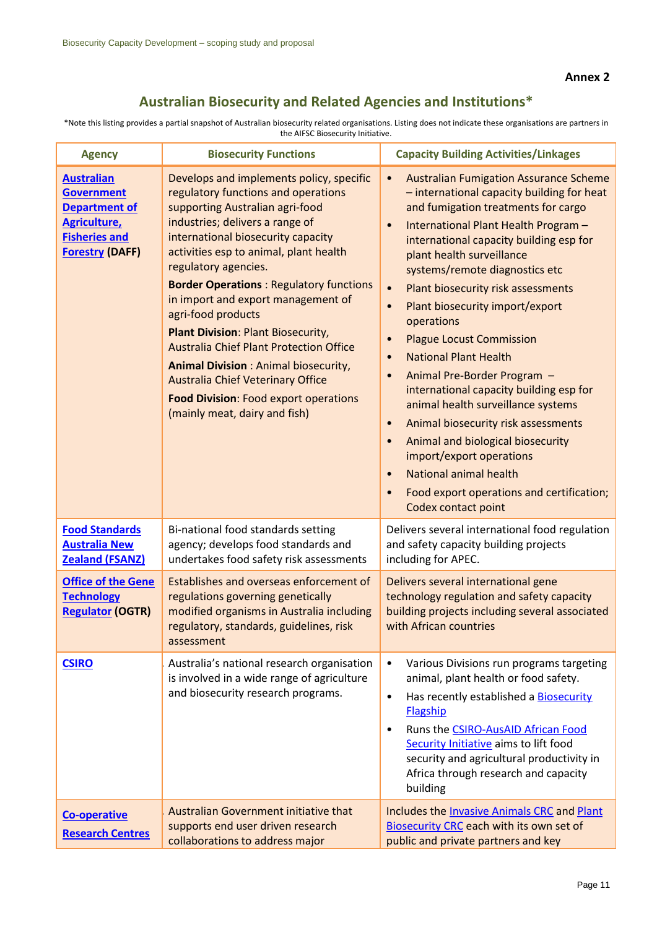## **Australian Biosecurity and Related Agencies and Institutions\***

\*Note this listing provides a partial snapshot of Australian biosecurity related organisations. Listing does not indicate these organisations are partners in the AIFSC Biosecurity Initiative.

| <b>Agency</b>                                                                                                                            | <b>Biosecurity Functions</b>                                                                                                                                                                                                                                                                                                                                                                                                                                                                                                                                                                                                                    | <b>Capacity Building Activities/Linkages</b>                                                                                                                                                                                                                                                                                                                                                                                                                                                                                                                                                                                                                                                                                                                                                                                                                                        |
|------------------------------------------------------------------------------------------------------------------------------------------|-------------------------------------------------------------------------------------------------------------------------------------------------------------------------------------------------------------------------------------------------------------------------------------------------------------------------------------------------------------------------------------------------------------------------------------------------------------------------------------------------------------------------------------------------------------------------------------------------------------------------------------------------|-------------------------------------------------------------------------------------------------------------------------------------------------------------------------------------------------------------------------------------------------------------------------------------------------------------------------------------------------------------------------------------------------------------------------------------------------------------------------------------------------------------------------------------------------------------------------------------------------------------------------------------------------------------------------------------------------------------------------------------------------------------------------------------------------------------------------------------------------------------------------------------|
| <b>Australian</b><br><b>Government</b><br><b>Department of</b><br><b>Agriculture</b> ,<br><b>Fisheries and</b><br><b>Forestry (DAFF)</b> | Develops and implements policy, specific<br>regulatory functions and operations<br>supporting Australian agri-food<br>industries; delivers a range of<br>international biosecurity capacity<br>activities esp to animal, plant health<br>regulatory agencies.<br><b>Border Operations: Regulatory functions</b><br>in import and export management of<br>agri-food products<br><b>Plant Division: Plant Biosecurity,</b><br><b>Australia Chief Plant Protection Office</b><br><b>Animal Division: Animal biosecurity,</b><br><b>Australia Chief Veterinary Office</b><br>Food Division: Food export operations<br>(mainly meat, dairy and fish) | <b>Australian Fumigation Assurance Scheme</b><br>$\bullet$<br>- international capacity building for heat<br>and fumigation treatments for cargo<br>International Plant Health Program -<br>international capacity building esp for<br>plant health surveillance<br>systems/remote diagnostics etc<br>Plant biosecurity risk assessments<br>$\bullet$<br>Plant biosecurity import/export<br>$\bullet$<br>operations<br><b>Plague Locust Commission</b><br><b>National Plant Health</b><br>$\bullet$<br>Animal Pre-Border Program -<br>$\bullet$<br>international capacity building esp for<br>animal health surveillance systems<br>Animal biosecurity risk assessments<br>$\bullet$<br>Animal and biological biosecurity<br>$\bullet$<br>import/export operations<br><b>National animal health</b><br>$\bullet$<br>Food export operations and certification;<br>Codex contact point |
| <b>Food Standards</b><br><b>Australia New</b><br><b>Zealand (FSANZ)</b>                                                                  | Bi-national food standards setting<br>agency; develops food standards and<br>undertakes food safety risk assessments                                                                                                                                                                                                                                                                                                                                                                                                                                                                                                                            | Delivers several international food regulation<br>and safety capacity building projects<br>including for APEC.                                                                                                                                                                                                                                                                                                                                                                                                                                                                                                                                                                                                                                                                                                                                                                      |
| <b>Office of the Gene</b><br><b>Technology</b><br><b>Regulator (OGTR)</b>                                                                | Establishes and overseas enforcement of<br>regulations governing genetically<br>modified organisms in Australia including<br>regulatory, standards, guidelines, risk<br>assessment                                                                                                                                                                                                                                                                                                                                                                                                                                                              | Delivers several international gene<br>technology regulation and safety capacity<br>building projects including several associated<br>with African countries                                                                                                                                                                                                                                                                                                                                                                                                                                                                                                                                                                                                                                                                                                                        |
| <b>CSIRO</b>                                                                                                                             | Australia's national research organisation<br>is involved in a wide range of agriculture<br>and biosecurity research programs.                                                                                                                                                                                                                                                                                                                                                                                                                                                                                                                  | Various Divisions run programs targeting<br>٠<br>animal, plant health or food safety.<br>Has recently established a <b>Biosecurity</b><br>$\bullet$<br>Flagship<br>Runs the CSIRO-AusAID African Food<br>Security Initiative aims to lift food<br>security and agricultural productivity in<br>Africa through research and capacity<br>building                                                                                                                                                                                                                                                                                                                                                                                                                                                                                                                                     |
| Co-operative<br><b>Research Centres</b>                                                                                                  | Australian Government initiative that<br>supports end user driven research<br>collaborations to address major                                                                                                                                                                                                                                                                                                                                                                                                                                                                                                                                   | Includes the Invasive Animals CRC and Plant<br>Biosecurity CRC each with its own set of<br>public and private partners and key                                                                                                                                                                                                                                                                                                                                                                                                                                                                                                                                                                                                                                                                                                                                                      |